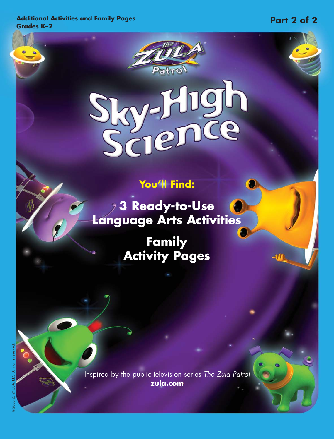**Additional Activities and Family Pages Grades K–2**

## **You'll Find:**

Patro

igh

 $\overline{C}$ 

**3 Ready-to-Use Language Arts Activities**

> **Family Activity Pages**

Inspired by the public television series The Zula Patrol **zula.com**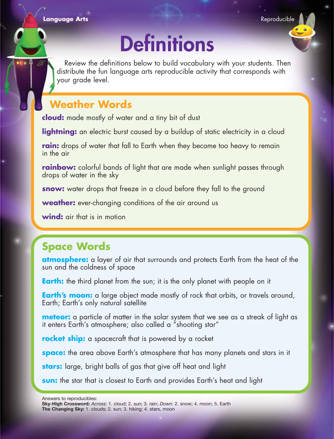**Language Arts Reproducible Arts in the United States of the United States and States and States and States and States and States and States and States and States and States and States and States and States and States an** 

# **Definitions**

Review the definitions below to build vocabulary with your students. Then distribute the fun language arts reproducible activity that corresponds with your grade level.

### **Weather Words**

**cloud:** made mostly of water and a tiny bit of dust

lightning: an electric burst caused by a buildup of static electricity in a cloud

**rain:** drops of water that fall to Earth when they become too heavy to remain in the air

**rainbow:** colorful bands of light that are made when sunlight passes through drops of water in the sky

**snow:** water drops that freeze in a cloud before they fall to the ground

**weather:** ever-changing conditions of the air around us

**wind:** air that is in motion

#### **Space Words**

**atmosphere:** a layer of air that surrounds and protects Earth from the heat of the sun and the coldness of space

**Earth:** the third planet from the sun; it is the only planet with people on it

**Earth's moon:** a large object made mostly of rock that orbits, or travels around, Earth; Earth's only natural satellite

**meteor:** a particle of matter in the solar system that we see as a streak of light as it enters Earth's atmosphere; also called a "shooting star"

**rocket ship:** a spacecraft that is powered by a rocket

**space:** the area above Earth's atmosphere that has many planets and stars in it

**stars:** large, bright balls of gas that give off heat and light

**sun:** the star that is closest to Earth and provides Earth's heat and light

**Sky-High Crossword:** *Across:* 1. cloud; 2. sun; 3. rain; *Down:* 2. snow; 4. moon; 5. Earth **The Changing Sky:** 1. clouds; 2. sun; 3. hiking; 4. stars, moon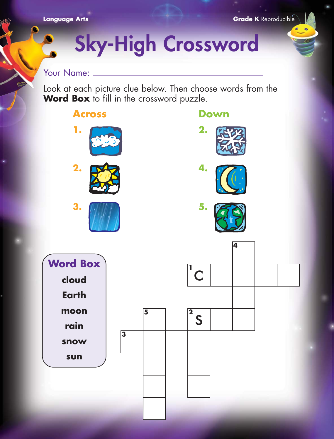www

**Grade K** Reproducible

# **Sky-High Crossword**

#### Your Name:  $\_\_$

Look at each picture clue below. Then choose words from the **Word Box** to fill in the crossword puzzle.